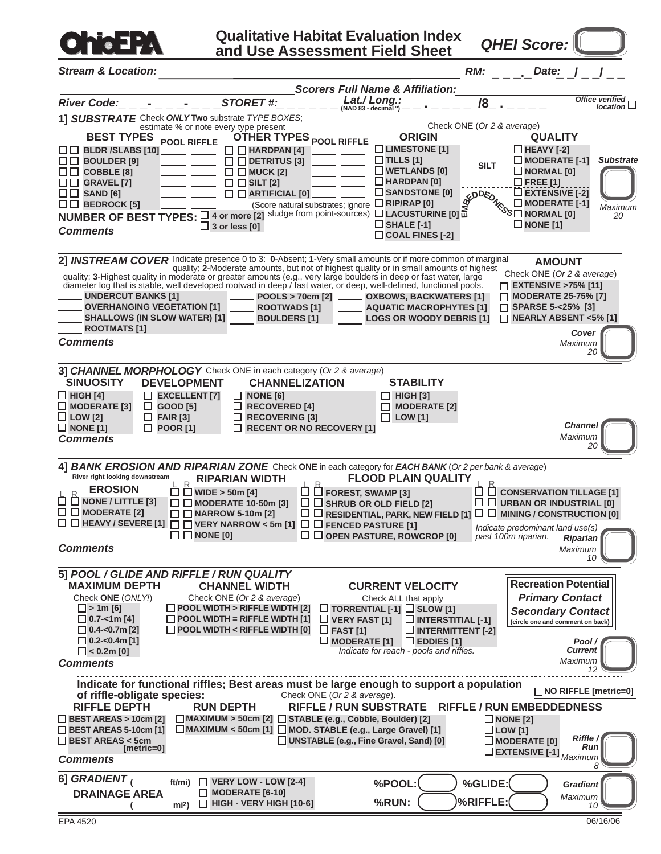

**Qualitative Habitat Evaluation Index and Use Assessment Field Sheet**

*QHEI Score:*

*Stream & Location:* **\_ \_ \_.\_** *RM: Date:***\_ \_/ \_ \_/ \_ \_** *Scorers Full Name & Affiliation:* **\_ \_ \_- \_ \_ \_- \_ \_ \_ \_ \_ \_ \_ \_ \_** *River Code: STORET #: Lat./ Long.:* **(NAD 83 - decimal <sup>o</sup> ) \_ \_ . \_ \_ \_ \_ /8\_ . \_ \_ \_ \_** *Office verified location* **1]** *SUBSTRATE* Check *ONLY* **Two** substrate *TYPE BOXES*; Check ONE (*Or 2 & average*) estimate % or note every type present **BEST TYPES POOL RIFFLE OTHER TYPES POOL RIFFLE ORIGIN QUALITY LIMESTONE [1] HEAVY [-2] BLDR /SLABS [10]**  $\Box$  **HARDPAN** [4]  $-$ **TILLS [1] MODERATE [-1] BOULDER [9] DETRITUS [3]** *Substrate* **SILT WETLANDS [0] NORMAL [0] COBBLE [8]**  $\Box$  **MUCK** [2] **HARDPAN [0] GRAVEL [7]**  $\Box$   $\Box$  SILT [2] **FREE [1] EXTENSIVE [-2] SANDSTONE [0]**  $\square \square$  SAND [6] **ARTIFICIAL [0] NONE [1] E <sup>M</sup>BEDDEDNES<sup>S</sup> MODERATE [-1] BEDROCK [5]** (Score natural substrates; ignore **□ RIP/RAP [0]** *Maximum* **NUMBER OF BEST TYPES:**  $\Box$  4 or more [2] sludge from point-sources)  $\Box$  LACUSTURINE [0] **NORMAL [0]** *20* **SHALE [-1] 3 or less [0]** *Comments* **COAL FINES [-2]** Allamounts or if more common of marginal metal COVER Indicate presence 0 to 3: **0**-Absent; 1-Very small amounts or if more common of marginal<br><sub>-</sub> quality; **2**-Moderate amounts, but not of highest quality or in small amount **AMOUNT** Check ONE (*Or 2 & average*) quality; **3**-Highest quality in moderate or greater amounts (e.g., very large boulders in deep or fast water, large diameter log that is stable, well developed rootwad in deep / fast water, or deep, well-defined, functional pools. **EXTENSIVE >75% [11] UNDERCUT BANKS [1] MODERATE 25-75% [7]**  $\Box$ **POOLS > 70cm [2] OXBOWS, BACKWATERS [1] OVERHANGING VEGETATION [1] ROOTWADS [1] AQUATIC MACROPHYTES [1] SPARSE 5-<25% [3] SHALLOWS (IN SLOW WATER) [1] BOULDERS [1] LOGS OR WOODY DEBRIS [1] NEARLY ABSENT <5% [1] ROOTMATS [1]** *Cover Comments Maximum 20* **3]** *CHANNEL MORPHOLOGY* Check ONE in each category (*Or 2 & average*) **SINUOSITY DEVELOPMENT CHANNELIZATION STABILITY HIGH [4] EXCELLENT [7] NONE [6] HIGH [3] MODERATE [3] GOOD [5] RECOVERED [4] MODERATE [2] FAIR [3] RECOVERING [3] LOW [1] LOW [2]** ■ **NONE** [1] **POOR [1] RECENT OR NO RECOVERY [1]** *Channel Maximum <sup>20</sup> Comments* **4]** *BANK EROSION AND RIPARIAN ZONE* Check **ONE** in each category for *EACH BANK* (*Or 2 per bank & average*) **River right looking downstream RIPARIAN WIDTH FLOOD PLAIN QUALITY** L R  $\mathsf{L}\ \mathsf{L}\ \mathsf{C}$  conservation tillage [1] **EROSION**  $\Box$  WIDE > 50m [4] **FOREST, SWAMP [3] NONE / LITTLE [3] SHRUB OR OLD FIELD [2]**  $\Box$  **MODERATE 10-50m [3] URBAN OR INDUSTRIAL [0] MODERATE [2] NARROW 5-10m [2] RESIDENTIAL, PARK, NEW FIELD [1] MINING / CONSTRUCTION [0] HEAVY / SEVERE [1] FENCED PASTURE [1] VERY NARROW < 5m [1]** *Indicate predominant land use(s)*  $\square$  NONE [0] **OPEN PASTURE, ROWCROP [0]** *past 100m riparian. Riparian Comments Maximum 10* **5]** *POOL / GLIDE AND RIFFLE / RUN QUALITY* **Recreation Potential CHANNEL WIDTH CURRENT VELOCITY MAXIMUM DEPTH** Check **ONE** (*ONLY!*) Check ONE (*Or 2 & average*) Check ALL that apply *Primary Contact* **POOL WIDTH > RIFFLE WIDTH [2] > 1m [6] SLOW [1] TORRENTIAL [-1]** *Secondary Contact* **0.7-<1m [4] POOL WIDTH = RIFFLE WIDTH [1] VERY FAST [1] INTERSTITIAL [-1] (circle one and comment on back) 0.4-<0.7m [2] POOL WIDTH < RIFFLE WIDTH [0] FAST [1] INTERMITTENT [-2] 0.2-<0.4m [1] MODERATE [1]** □ EDDIES [1] *Pool /* **< 0.2m [0]** *Indicate for reach - pools and riffles. Current Maximum Comments 12* **Indicate for functional riffles; Best areas must be large enough to support a population of riffle-obligate species:** Check ONE (Or 2 & average). **NO RIFFLE [metric=0] of riffle-obligate species: RIFFLE DEPTH RUN DEPTH RIFFLE / RUN SUBSTRATE RIFFLE / RUN EMBEDDEDNESS BEST AREAS > 10cm [2] MAXIMUM > 50cm [2] STABLE (e.g., Cobble, Boulder) [2]** ■ **NONE** [2] **BEST AREAS 5-10cm [1] LOW [1] MAXIMUM < 50cm [1] MOD. STABLE (e.g., Large Gravel) [1] BEST AREAS < 5cm**<br>[metric=0] **UNSTABLE (e.g., Fine Gravel, Sand) [0] MODERATE [0]** *Riffle / Run* **Maximum EXTENSIVE [-1]** *RUI Comments 8* **6]** *GRADIENT* **( ft/mi)**

**%POOL:**

**%GLIDE:**

**VERY LOW - LOW [2-4]**

*Maximum 10*

*Gradient*